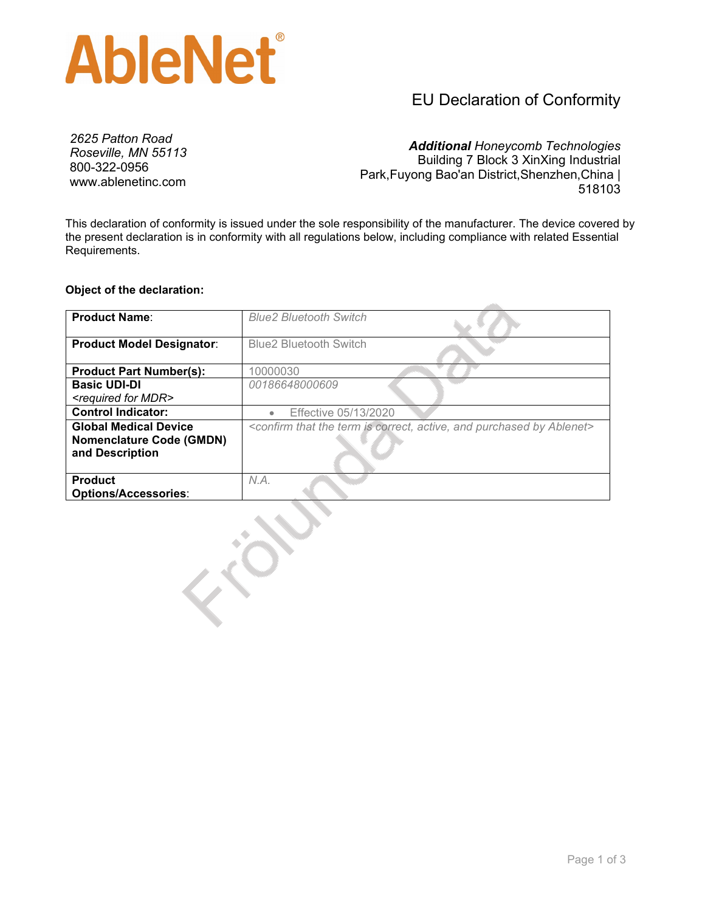

## EU Declaration of Conformity

*2625 Patton Road Roseville, MN 55113* 800-322-0956 www.ablenetinc.com

*Additional Honeycomb Technologies* Building 7 Block 3 XinXing Industrial Park,Fuyong Bao'an District,Shenzhen,China | 518103

This declaration of conformity is issued under the sole responsibility of the manufacturer. The device covered by the present declaration is in conformity with all regulations below, including compliance with related Essential Requirements.

#### **Object of the declaration:**

| <b>Product Name:</b>                | <b>Blue2 Bluetooth Switch</b>                                                                                |
|-------------------------------------|--------------------------------------------------------------------------------------------------------------|
| <b>Product Model Designator:</b>    | <b>Blue2 Bluetooth Switch</b>                                                                                |
| <b>Product Part Number(s):</b>      | 10000030                                                                                                     |
| <b>Basic UDI-DI</b>                 | 00186648000609                                                                                               |
| <required for="" mdr=""></required> |                                                                                                              |
| <b>Control Indicator:</b>           | Effective 05/13/2020<br>$\bullet$                                                                            |
| <b>Global Medical Device</b>        | <confirm ablenet="" active,="" and="" by="" correct,="" is="" purchased="" term="" that="" the=""></confirm> |
| <b>Nomenclature Code (GMDN)</b>     |                                                                                                              |
| and Description                     |                                                                                                              |
|                                     |                                                                                                              |
| <b>Product</b>                      | $NA$ .                                                                                                       |
| <b>Options/Accessories:</b>         |                                                                                                              |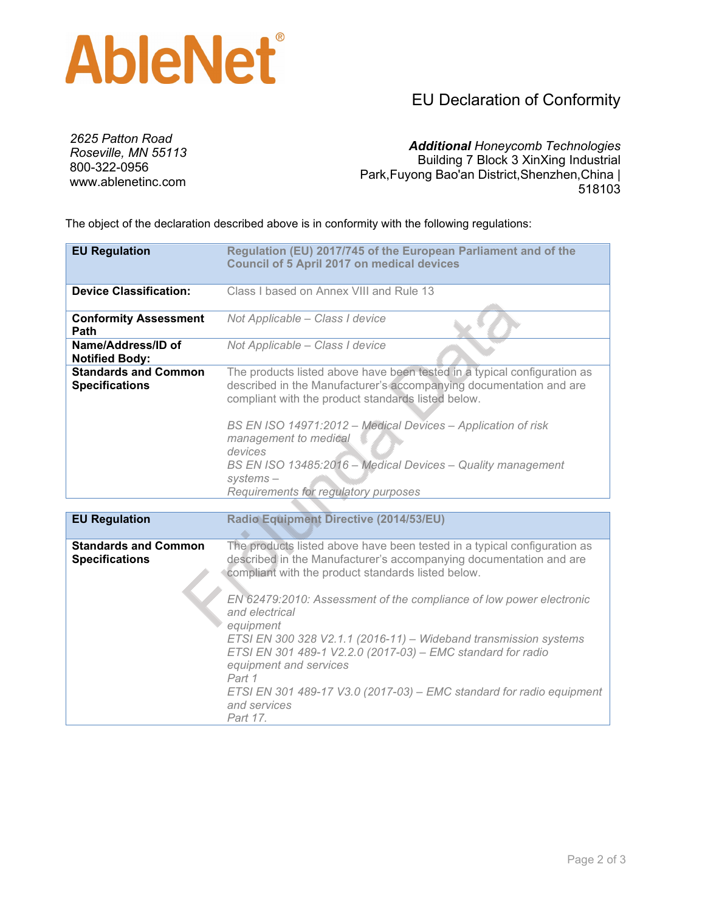

## EU Declaration of Conformity

*2625 Patton Road Roseville, MN 55113* 800-322-0956 www.ablenetinc.com

*Additional Honeycomb Technologies* Building 7 Block 3 XinXing Industrial Park,Fuyong Bao'an District,Shenzhen,China | 518103

The object of the declaration described above is in conformity with the following regulations:

| <b>EU Regulation</b>                                 | Regulation (EU) 2017/745 of the European Parliament and of the<br><b>Council of 5 April 2017 on medical devices</b>                                                                                  |  |
|------------------------------------------------------|------------------------------------------------------------------------------------------------------------------------------------------------------------------------------------------------------|--|
|                                                      |                                                                                                                                                                                                      |  |
| <b>Device Classification:</b>                        | Class I based on Annex VIII and Rule 13                                                                                                                                                              |  |
| <b>Conformity Assessment</b><br>Path                 | Not Applicable - Class I device                                                                                                                                                                      |  |
| Name/Address/ID of<br><b>Notified Body:</b>          | Not Applicable - Class I device                                                                                                                                                                      |  |
| <b>Standards and Common</b><br><b>Specifications</b> | The products listed above have been tested in a typical configuration as<br>described in the Manufacturer's accompanying documentation and are<br>compliant with the product standards listed below. |  |
|                                                      | BS EN ISO 14971:2012 - Medical Devices - Application of risk<br>management to medical<br>devices                                                                                                     |  |
|                                                      | BS EN ISO 13485:2016 - Medical Devices - Quality management<br>$s$ ystems $-$<br>Requirements for regulatory purposes                                                                                |  |
|                                                      |                                                                                                                                                                                                      |  |
| <b>EU Regulation</b>                                 | Radio Equipment Directive (2014/53/EU)                                                                                                                                                               |  |
| <b>Standards and Common</b><br><b>Specifications</b> | The products listed above have been tested in a typical configuration as<br>described in the Manufacturer's accompanying documentation and are<br>compliant with the product standards listed below. |  |
|                                                      | EN 62479:2010: Assessment of the compliance of low power electronic<br>and electrical<br>equipment                                                                                                   |  |
|                                                      | ETSI EN 300 328 V2.1.1 (2016-11) - Wideband transmission systems<br>ETSI EN 301 489-1 V2.2.0 (2017-03) - EMC standard for radio<br>equipment and services                                            |  |
|                                                      | Part 1<br>ETSI EN 301 489-17 V3.0 (2017-03) – EMC standard for radio equipment<br>and services<br>Part 17.                                                                                           |  |